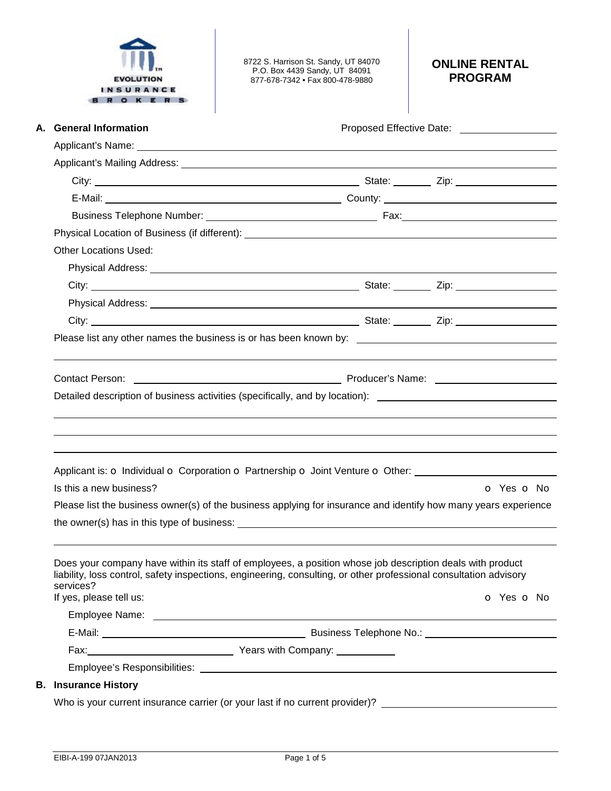

8722 S. Harrison St. Sandy, UT 84070 P.O. Box 4439 Sandy, UT 84091 877-678-7342 • Fax 800-478-9880

# **ONLINE RENTAL PROGRAM**

|  | A. General Information                                                                                                                                                                                                                      | Proposed Effective Date: ____________________                                                                                                                                                                                        |            |  |  |
|--|---------------------------------------------------------------------------------------------------------------------------------------------------------------------------------------------------------------------------------------------|--------------------------------------------------------------------------------------------------------------------------------------------------------------------------------------------------------------------------------------|------------|--|--|
|  |                                                                                                                                                                                                                                             | Applicant's Name: <u>example and a series of the series of the series of the series of the series of the series of the series of the series of the series of the series of the series of the series of the series of the series </u> |            |  |  |
|  |                                                                                                                                                                                                                                             |                                                                                                                                                                                                                                      |            |  |  |
|  |                                                                                                                                                                                                                                             |                                                                                                                                                                                                                                      |            |  |  |
|  |                                                                                                                                                                                                                                             |                                                                                                                                                                                                                                      |            |  |  |
|  |                                                                                                                                                                                                                                             |                                                                                                                                                                                                                                      |            |  |  |
|  |                                                                                                                                                                                                                                             |                                                                                                                                                                                                                                      |            |  |  |
|  | <b>Other Locations Used:</b>                                                                                                                                                                                                                |                                                                                                                                                                                                                                      |            |  |  |
|  |                                                                                                                                                                                                                                             |                                                                                                                                                                                                                                      |            |  |  |
|  |                                                                                                                                                                                                                                             |                                                                                                                                                                                                                                      |            |  |  |
|  |                                                                                                                                                                                                                                             |                                                                                                                                                                                                                                      |            |  |  |
|  |                                                                                                                                                                                                                                             |                                                                                                                                                                                                                                      |            |  |  |
|  |                                                                                                                                                                                                                                             |                                                                                                                                                                                                                                      |            |  |  |
|  |                                                                                                                                                                                                                                             |                                                                                                                                                                                                                                      |            |  |  |
|  |                                                                                                                                                                                                                                             |                                                                                                                                                                                                                                      |            |  |  |
|  | Contact Person: <u>Contact Person:</u> Contact Person: Contact Person: Contact Person:<br>Detailed description of business activities (specifically, and by location): _________________________________                                    |                                                                                                                                                                                                                                      |            |  |  |
|  |                                                                                                                                                                                                                                             |                                                                                                                                                                                                                                      |            |  |  |
|  |                                                                                                                                                                                                                                             |                                                                                                                                                                                                                                      |            |  |  |
|  |                                                                                                                                                                                                                                             |                                                                                                                                                                                                                                      |            |  |  |
|  |                                                                                                                                                                                                                                             |                                                                                                                                                                                                                                      |            |  |  |
|  | Applicant is: O Individual O Corporation O Partnership O Joint Venture O Other: ____________________                                                                                                                                        |                                                                                                                                                                                                                                      |            |  |  |
|  | Is this a new business?                                                                                                                                                                                                                     |                                                                                                                                                                                                                                      | O Yes O No |  |  |
|  | Please list the business owner(s) of the business applying for insurance and identify how many years experience                                                                                                                             |                                                                                                                                                                                                                                      |            |  |  |
|  |                                                                                                                                                                                                                                             |                                                                                                                                                                                                                                      |            |  |  |
|  |                                                                                                                                                                                                                                             |                                                                                                                                                                                                                                      |            |  |  |
|  | Does your company have within its staff of employees, a position whose job description deals with product<br>liability, loss control, safety inspections, engineering, consulting, or other professional consultation advisory<br>services? |                                                                                                                                                                                                                                      |            |  |  |
|  | If yes, please tell us:                                                                                                                                                                                                                     |                                                                                                                                                                                                                                      | o Yes o No |  |  |
|  |                                                                                                                                                                                                                                             |                                                                                                                                                                                                                                      |            |  |  |
|  |                                                                                                                                                                                                                                             |                                                                                                                                                                                                                                      |            |  |  |
|  |                                                                                                                                                                                                                                             |                                                                                                                                                                                                                                      |            |  |  |
|  |                                                                                                                                                                                                                                             |                                                                                                                                                                                                                                      |            |  |  |
|  | <b>B.</b> Insurance History                                                                                                                                                                                                                 |                                                                                                                                                                                                                                      |            |  |  |
|  |                                                                                                                                                                                                                                             | Who is your current insurance carrier (or your last if no current provider)? _________________________________                                                                                                                       |            |  |  |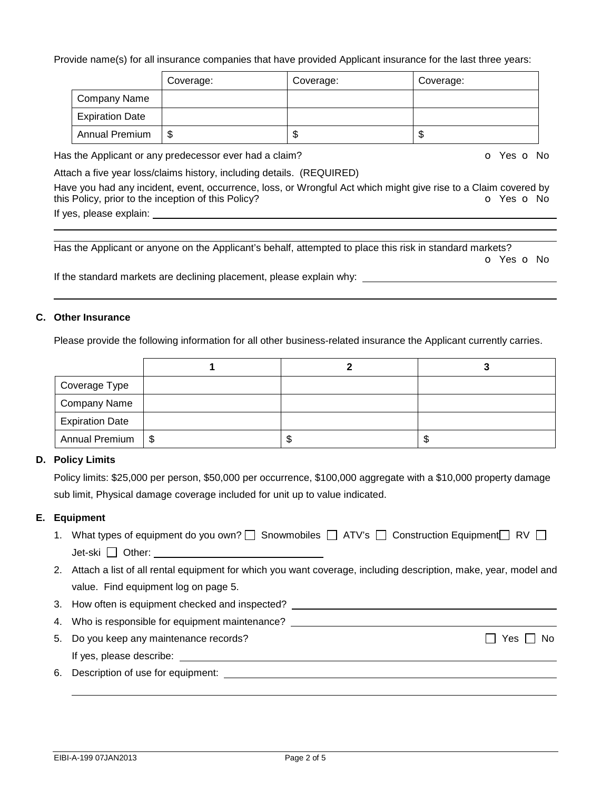#### Provide name(s) for all insurance companies that have provided Applicant insurance for the last three years:

|                        | Coverage: | Coverage: | Coverage: |
|------------------------|-----------|-----------|-----------|
| Company Name           |           |           |           |
| <b>Expiration Date</b> |           |           |           |
| <b>Annual Premium</b>  |           | ۰D        | ۰D        |

Has the Applicant or any predecessor ever had a claim? Department of the South of Yes of No.

Attach a five year loss/claims history, including details. (REQUIRED)

Have you had any incident, event, occurrence, loss, or Wrongful Act which might give rise to a Claim covered by this Policy, prior to the inception of this Policy? **o** Yes **o** No If yes, please explain:

 Has the Applicant or anyone on the Applicant's behalf, attempted to place this risk in standard markets? o Yes o No

If the standard markets are declining placement, please explain why:

#### **C. Other Insurance**

Please provide the following information for all other business-related insurance the Applicant currently carries.

| Coverage Type          |  |   |
|------------------------|--|---|
| <b>Company Name</b>    |  |   |
| <b>Expiration Date</b> |  |   |
| Annual Premium   \$    |  | J |

#### **D. Policy Limits**

Policy limits: \$25,000 per person, \$50,000 per occurrence, \$100,000 aggregate with a \$10,000 property damage sub limit, Physical damage coverage included for unit up to value indicated.

#### **E. Equipment**

- 1. What types of equipment do you own?  $\Box$  Snowmobiles  $\Box$  ATV's  $\Box$  Construction Equipment  $\Box$  RV  $\Box$ Jet-ski Other:
- 2. Attach a list of all rental equipment for which you want coverage, including description, make, year, model and value. Find equipment log on page 5.
- 3. How often is equipment checked and inspected?
- 4. Who is responsible for equipment maintenance?
- 5. Do you keep any maintenance records?  $\Box$  Yes  $\Box$  Yes  $\Box$  No If yes, please describe:
- 6. Description of use for equipment: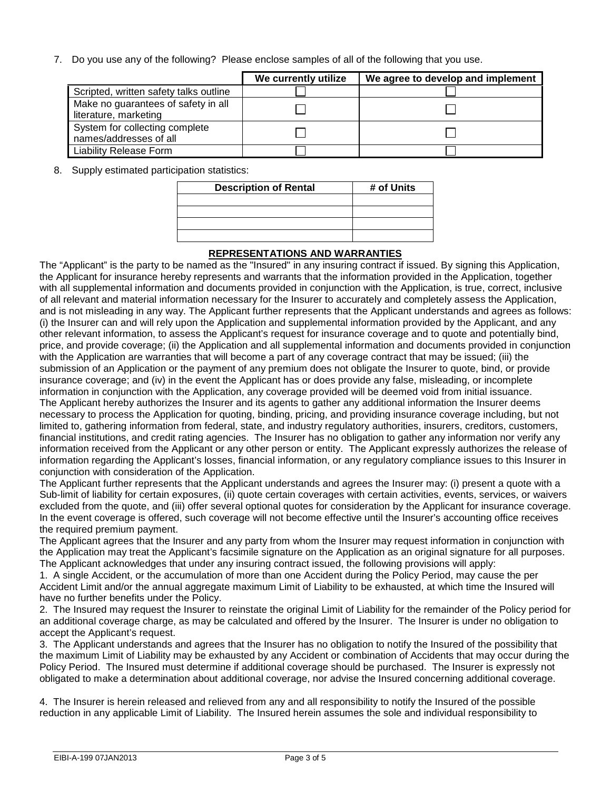7. Do you use any of the following? Please enclose samples of all of the following that you use.

|                                                              | We currently utilize | We agree to develop and implement |
|--------------------------------------------------------------|----------------------|-----------------------------------|
| Scripted, written safety talks outline                       |                      |                                   |
| Make no guarantees of safety in all<br>literature, marketing |                      |                                   |
| System for collecting complete<br>names/addresses of all     |                      |                                   |
| <b>Liability Release Form</b>                                |                      |                                   |

8. Supply estimated participation statistics:

| <b>Description of Rental</b> | # of Units |
|------------------------------|------------|
|                              |            |
|                              |            |
|                              |            |
|                              |            |

#### **REPRESENTATIONS AND WARRANTIES**

The "Applicant" is the party to be named as the "Insured" in any insuring contract if issued. By signing this Application, the Applicant for insurance hereby represents and warrants that the information provided in the Application, together with all supplemental information and documents provided in conjunction with the Application, is true, correct, inclusive of all relevant and material information necessary for the Insurer to accurately and completely assess the Application, and is not misleading in any way. The Applicant further represents that the Applicant understands and agrees as follows: (i) the Insurer can and will rely upon the Application and supplemental information provided by the Applicant, and any other relevant information, to assess the Applicant's request for insurance coverage and to quote and potentially bind, price, and provide coverage; (ii) the Application and all supplemental information and documents provided in conjunction with the Application are warranties that will become a part of any coverage contract that may be issued; (iii) the submission of an Application or the payment of any premium does not obligate the Insurer to quote, bind, or provide insurance coverage; and (iv) in the event the Applicant has or does provide any false, misleading, or incomplete information in conjunction with the Application, any coverage provided will be deemed void from initial issuance. The Applicant hereby authorizes the Insurer and its agents to gather any additional information the Insurer deems necessary to process the Application for quoting, binding, pricing, and providing insurance coverage including, but not limited to, gathering information from federal, state, and industry regulatory authorities, insurers, creditors, customers, financial institutions, and credit rating agencies. The Insurer has no obligation to gather any information nor verify any information received from the Applicant or any other person or entity. The Applicant expressly authorizes the release of information regarding the Applicant's losses, financial information, or any regulatory compliance issues to this Insurer in conjunction with consideration of the Application.

The Applicant further represents that the Applicant understands and agrees the Insurer may: (i) present a quote with a Sub-limit of liability for certain exposures, (ii) quote certain coverages with certain activities, events, services, or waivers excluded from the quote, and (iii) offer several optional quotes for consideration by the Applicant for insurance coverage. In the event coverage is offered, such coverage will not become effective until the Insurer's accounting office receives the required premium payment.

The Applicant agrees that the Insurer and any party from whom the Insurer may request information in conjunction with the Application may treat the Applicant's facsimile signature on the Application as an original signature for all purposes. The Applicant acknowledges that under any insuring contract issued, the following provisions will apply:

1. A single Accident, or the accumulation of more than one Accident during the Policy Period, may cause the per Accident Limit and/or the annual aggregate maximum Limit of Liability to be exhausted, at which time the Insured will have no further benefits under the Policy.

2. The Insured may request the Insurer to reinstate the original Limit of Liability for the remainder of the Policy period for an additional coverage charge, as may be calculated and offered by the Insurer. The Insurer is under no obligation to accept the Applicant's request.

3. The Applicant understands and agrees that the Insurer has no obligation to notify the Insured of the possibility that the maximum Limit of Liability may be exhausted by any Accident or combination of Accidents that may occur during the Policy Period. The Insured must determine if additional coverage should be purchased. The Insurer is expressly not obligated to make a determination about additional coverage, nor advise the Insured concerning additional coverage.

4. The Insurer is herein released and relieved from any and all responsibility to notify the Insured of the possible reduction in any applicable Limit of Liability. The Insured herein assumes the sole and individual responsibility to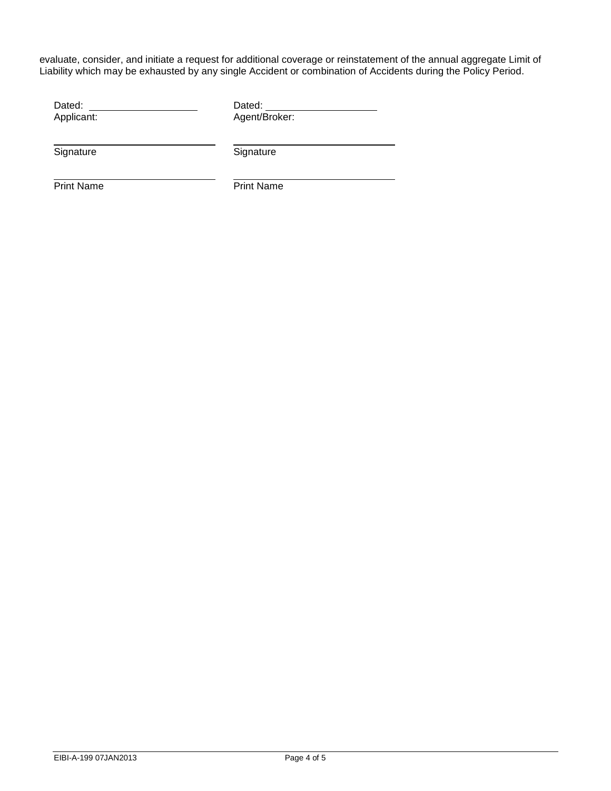evaluate, consider, and initiate a request for additional coverage or reinstatement of the annual aggregate Limit of Liability which may be exhausted by any single Accident or combination of Accidents during the Policy Period.

| Dated:     | Dated:        |  |
|------------|---------------|--|
| Applicant: | Agent/Broker: |  |
| Signature  | Signature     |  |

Print Name Print Name